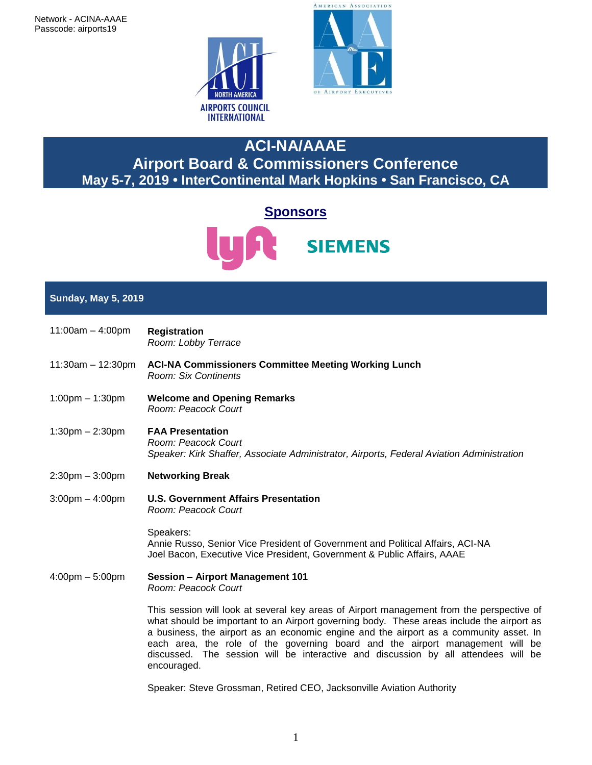



# **ACI-NA/AAAE Airport Board & Commissioners Conference May 5-7, 2019 • InterContinental Mark Hopkins • San Francisco, CA**



# **Sunday, May 5, 2019**

- 11:00am 4:00pm **Registration** *Room: Lobby Terrace* 11:30am – 12:30pm **ACI-NA Commissioners Committee Meeting Working Lunch** *Room: Six Continents* 1:00pm – 1:30pm **Welcome and Opening Remarks**  *Room: Peacock Court* 1:30pm – 2:30pm **FAA Presentation** *Room: Peacock Court Speaker: Kirk Shaffer, Associate Administrator, Airports, Federal Aviation Administration*
- 2:30pm 3:00pm **Networking Break**
- 3:00pm 4:00pm **U.S. Government Affairs Presentation** *Room: Peacock Court*

Speakers: Annie Russo, Senior Vice President of Government and Political Affairs, ACI-NA Joel Bacon, Executive Vice President, Government & Public Affairs, AAAE

4:00pm – 5:00pm **Session – Airport Management 101** *Room: Peacock Court*

encouraged.

This session will look at several key areas of Airport management from the perspective of what should be important to an Airport governing body. These areas include the airport as a business, the airport as an economic engine and the airport as a community asset. In each area, the role of the governing board and the airport management will be discussed. The session will be interactive and discussion by all attendees will be

Speaker: Steve Grossman, Retired CEO, Jacksonville Aviation Authority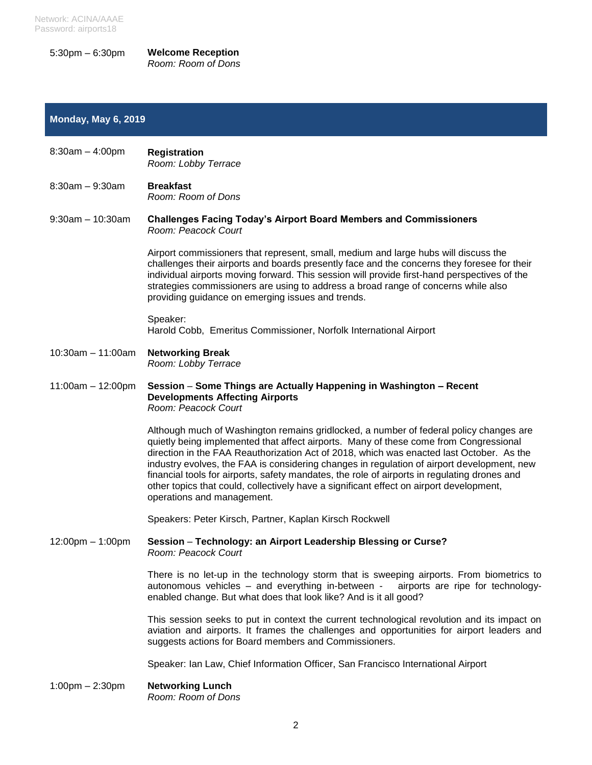Network: ACINA/AAAE Password: airports18

5:30pm – 6:30pm **Welcome Reception** *Room: Room of Dons*

## **Monday, May 6, 2019**

| $8:30am - 4:00pm$ | <b>Registration</b><br>Room: Lobby Terrace |
|-------------------|--------------------------------------------|
|                   |                                            |

8:30am – 9:30am **Breakfast** *Room: Room of Dons*

9:30am – 10:30am **Challenges Facing Today's Airport Board Members and Commissioners**  *Room: Peacock Court*

> Airport commissioners that represent, small, medium and large hubs will discuss the challenges their airports and boards presently face and the concerns they foresee for their individual airports moving forward. This session will provide first-hand perspectives of the strategies commissioners are using to address a broad range of concerns while also providing guidance on emerging issues and trends.

## Speaker: Harold Cobb, Emeritus Commissioner, Norfolk International Airport

- 10:30am 11:00am **Networking Break** *Room: Lobby Terrace*
- 11:00am 12:00pm **Session Some Things are Actually Happening in Washington – Recent Developments Affecting Airports** *Room: Peacock Court*

Although much of Washington remains gridlocked, a number of federal policy changes are quietly being implemented that affect airports. Many of these come from Congressional direction in the FAA Reauthorization Act of 2018, which was enacted last October. As the industry evolves, the FAA is considering changes in regulation of airport development, new financial tools for airports, safety mandates, the role of airports in regulating drones and other topics that could, collectively have a significant effect on airport development, operations and management.

Speakers: Peter Kirsch, Partner, Kaplan Kirsch Rockwell

12:00pm – 1:00pm **Session** – **Technology: an Airport Leadership Blessing or Curse?** *Room: Peacock Court*

> There is no let-up in the technology storm that is sweeping airports. From biometrics to autonomous vehicles – and everything in-between - airports are ripe for technologyenabled change. But what does that look like? And is it all good?

> This session seeks to put in context the current technological revolution and its impact on aviation and airports. It frames the challenges and opportunities for airport leaders and suggests actions for Board members and Commissioners.

Speaker: Ian Law, Chief Information Officer, San Francisco International Airport

1:00pm – 2:30pm **Networking Lunch** *Room: Room of Dons*